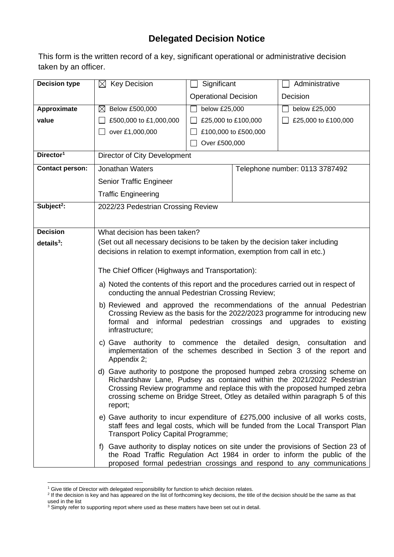## **Delegated Decision Notice**

This form is the written record of a key, significant operational or administrative decision taken by an officer.

| <b>Decision type</b>   | $\boxtimes$ Key Decision                                                                                                                              | Significant                                                                                                                                                                                                                               |                                | Administrative      |  |  |
|------------------------|-------------------------------------------------------------------------------------------------------------------------------------------------------|-------------------------------------------------------------------------------------------------------------------------------------------------------------------------------------------------------------------------------------------|--------------------------------|---------------------|--|--|
|                        |                                                                                                                                                       | <b>Operational Decision</b>                                                                                                                                                                                                               |                                | Decision            |  |  |
| Approximate            | Below £500,000<br>$\bowtie$                                                                                                                           | below £25,000                                                                                                                                                                                                                             |                                | below £25,000       |  |  |
| value                  | £500,000 to £1,000,000                                                                                                                                |                                                                                                                                                                                                                                           | £25,000 to £100,000            | £25,000 to £100,000 |  |  |
|                        | over £1,000,000                                                                                                                                       |                                                                                                                                                                                                                                           | £100,000 to £500,000           |                     |  |  |
|                        |                                                                                                                                                       | Over £500,000                                                                                                                                                                                                                             |                                |                     |  |  |
| Director <sup>1</sup>  | Director of City Development                                                                                                                          |                                                                                                                                                                                                                                           |                                |                     |  |  |
| <b>Contact person:</b> | Jonathan Waters                                                                                                                                       |                                                                                                                                                                                                                                           | Telephone number: 0113 3787492 |                     |  |  |
|                        | Senior Traffic Engineer                                                                                                                               |                                                                                                                                                                                                                                           |                                |                     |  |  |
|                        | <b>Traffic Engineering</b>                                                                                                                            |                                                                                                                                                                                                                                           |                                |                     |  |  |
| Subject <sup>2</sup> : | 2022/23 Pedestrian Crossing Review                                                                                                                    |                                                                                                                                                                                                                                           |                                |                     |  |  |
|                        |                                                                                                                                                       |                                                                                                                                                                                                                                           |                                |                     |  |  |
| <b>Decision</b>        | What decision has been taken?                                                                                                                         |                                                                                                                                                                                                                                           |                                |                     |  |  |
| $details3$ :           | (Set out all necessary decisions to be taken by the decision taker including                                                                          |                                                                                                                                                                                                                                           |                                |                     |  |  |
|                        | decisions in relation to exempt information, exemption from call in etc.)                                                                             |                                                                                                                                                                                                                                           |                                |                     |  |  |
|                        | The Chief Officer (Highways and Transportation):                                                                                                      |                                                                                                                                                                                                                                           |                                |                     |  |  |
|                        |                                                                                                                                                       |                                                                                                                                                                                                                                           |                                |                     |  |  |
|                        | a) Noted the contents of this report and the procedures carried out in respect of<br>conducting the annual Pedestrian Crossing Review;                |                                                                                                                                                                                                                                           |                                |                     |  |  |
|                        | b) Reviewed and approved the recommendations of the annual Pedestrian<br>Crossing Review as the basis for the 2022/2023 programme for introducing new |                                                                                                                                                                                                                                           |                                |                     |  |  |
|                        | infrastructure;                                                                                                                                       | formal and informal pedestrian crossings and<br>upgrades to existing                                                                                                                                                                      |                                |                     |  |  |
|                        | c) Gave authority to commence the detailed design, consultation<br>and<br>implementation of the schemes described in Section 3 of the report and      |                                                                                                                                                                                                                                           |                                |                     |  |  |
|                        | Appendix 2;                                                                                                                                           |                                                                                                                                                                                                                                           |                                |                     |  |  |
|                        | d) Gave authority to postpone the proposed humped zebra crossing scheme on<br>Richardshaw Lane, Pudsey as contained within the 2021/2022 Pedestrian   |                                                                                                                                                                                                                                           |                                |                     |  |  |
|                        | report;                                                                                                                                               | Crossing Review programme and replace this with the proposed humped zebra<br>crossing scheme on Bridge Street, Otley as detailed within paragraph 5 of this                                                                               |                                |                     |  |  |
|                        | <b>Transport Policy Capital Programme;</b>                                                                                                            | e) Gave authority to incur expenditure of £275,000 inclusive of all works costs,<br>staff fees and legal costs, which will be funded from the Local Transport Plan                                                                        |                                |                     |  |  |
|                        |                                                                                                                                                       | f) Gave authority to display notices on site under the provisions of Section 23 of<br>the Road Traffic Regulation Act 1984 in order to inform the public of the<br>proposed formal pedestrian crossings and respond to any communications |                                |                     |  |  |

<sup>&</sup>lt;sup>1</sup> Give title of Director with delegated responsibility for function to which decision relates.<br><sup>2</sup> If the decision is key and has appeared on the list of forthcoming key decisions, the title of the decision should be the used in the list

 $3$  Simply refer to supporting report where used as these matters have been set out in detail.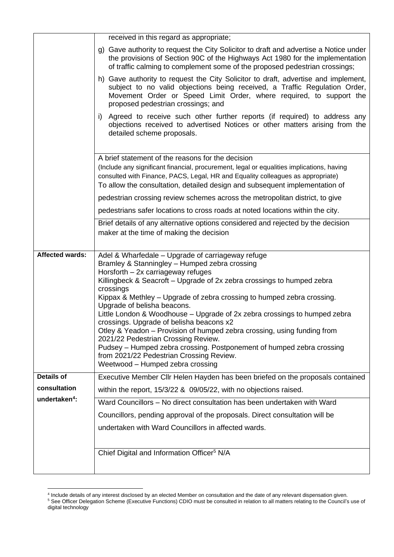|                           | received in this regard as appropriate;                                                                                                                                                                                                                                                                                                                                                                                                                                       |  |  |  |  |  |
|---------------------------|-------------------------------------------------------------------------------------------------------------------------------------------------------------------------------------------------------------------------------------------------------------------------------------------------------------------------------------------------------------------------------------------------------------------------------------------------------------------------------|--|--|--|--|--|
|                           | g) Gave authority to request the City Solicitor to draft and advertise a Notice under<br>the provisions of Section 90C of the Highways Act 1980 for the implementation<br>of traffic calming to complement some of the proposed pedestrian crossings;                                                                                                                                                                                                                         |  |  |  |  |  |
|                           | h) Gave authority to request the City Solicitor to draft, advertise and implement,<br>subject to no valid objections being received, a Traffic Regulation Order,<br>Movement Order or Speed Limit Order, where required, to support the<br>proposed pedestrian crossings; and<br>Agreed to receive such other further reports (if required) to address any<br>i)<br>objections received to advertised Notices or other matters arising from the<br>detailed scheme proposals. |  |  |  |  |  |
|                           |                                                                                                                                                                                                                                                                                                                                                                                                                                                                               |  |  |  |  |  |
|                           | A brief statement of the reasons for the decision                                                                                                                                                                                                                                                                                                                                                                                                                             |  |  |  |  |  |
|                           | (Include any significant financial, procurement, legal or equalities implications, having<br>consulted with Finance, PACS, Legal, HR and Equality colleagues as appropriate)<br>To allow the consultation, detailed design and subsequent implementation of                                                                                                                                                                                                                   |  |  |  |  |  |
|                           | pedestrian crossing review schemes across the metropolitan district, to give                                                                                                                                                                                                                                                                                                                                                                                                  |  |  |  |  |  |
|                           | pedestrians safer locations to cross roads at noted locations within the city.                                                                                                                                                                                                                                                                                                                                                                                                |  |  |  |  |  |
|                           | Brief details of any alternative options considered and rejected by the decision<br>maker at the time of making the decision                                                                                                                                                                                                                                                                                                                                                  |  |  |  |  |  |
|                           |                                                                                                                                                                                                                                                                                                                                                                                                                                                                               |  |  |  |  |  |
| <b>Affected wards:</b>    | Adel & Wharfedale - Upgrade of carriageway refuge                                                                                                                                                                                                                                                                                                                                                                                                                             |  |  |  |  |  |
|                           | Bramley & Stanningley - Humped zebra crossing                                                                                                                                                                                                                                                                                                                                                                                                                                 |  |  |  |  |  |
|                           | Horsforth - 2x carriageway refuges                                                                                                                                                                                                                                                                                                                                                                                                                                            |  |  |  |  |  |
|                           | Killingbeck & Seacroft – Upgrade of 2x zebra crossings to humped zebra                                                                                                                                                                                                                                                                                                                                                                                                        |  |  |  |  |  |
|                           | crossings<br>Kippax & Methley – Upgrade of zebra crossing to humped zebra crossing.                                                                                                                                                                                                                                                                                                                                                                                           |  |  |  |  |  |
|                           | Upgrade of belisha beacons.<br>Little London & Woodhouse – Upgrade of 2x zebra crossings to humped zebra<br>crossings. Upgrade of belisha beacons x2                                                                                                                                                                                                                                                                                                                          |  |  |  |  |  |
|                           | Otley & Yeadon - Provision of humped zebra crossing, using funding from                                                                                                                                                                                                                                                                                                                                                                                                       |  |  |  |  |  |
|                           | 2021/22 Pedestrian Crossing Review.                                                                                                                                                                                                                                                                                                                                                                                                                                           |  |  |  |  |  |
|                           | Pudsey – Humped zebra crossing. Postponement of humped zebra crossing<br>from 2021/22 Pedestrian Crossing Review.                                                                                                                                                                                                                                                                                                                                                             |  |  |  |  |  |
|                           | Weetwood - Humped zebra crossing                                                                                                                                                                                                                                                                                                                                                                                                                                              |  |  |  |  |  |
| <b>Details of</b>         | Executive Member Cllr Helen Hayden has been briefed on the proposals contained                                                                                                                                                                                                                                                                                                                                                                                                |  |  |  |  |  |
| consultation              | within the report, 15/3/22 & 09/05/22, with no objections raised.                                                                                                                                                                                                                                                                                                                                                                                                             |  |  |  |  |  |
| undertaken <sup>4</sup> : | Ward Councillors - No direct consultation has been undertaken with Ward                                                                                                                                                                                                                                                                                                                                                                                                       |  |  |  |  |  |
|                           | Councillors, pending approval of the proposals. Direct consultation will be                                                                                                                                                                                                                                                                                                                                                                                                   |  |  |  |  |  |
|                           | undertaken with Ward Councillors in affected wards.                                                                                                                                                                                                                                                                                                                                                                                                                           |  |  |  |  |  |
|                           |                                                                                                                                                                                                                                                                                                                                                                                                                                                                               |  |  |  |  |  |
|                           | Chief Digital and Information Officer <sup>5</sup> N/A                                                                                                                                                                                                                                                                                                                                                                                                                        |  |  |  |  |  |
|                           |                                                                                                                                                                                                                                                                                                                                                                                                                                                                               |  |  |  |  |  |

<sup>4</sup> Include details of any interest disclosed by an elected Member on consultation and the date of any relevant dispensation given.

<sup>&</sup>lt;sup>5</sup> See Officer Delegation Scheme (Executive Functions) CDIO must be consulted in relation to all matters relating to the Council's use of digital technology